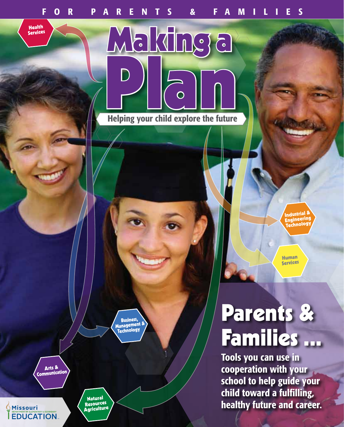Making a

**Health** Services

Helping your child explore the future

 Business, Management &

Arts &

 $\bigcirc$ Missouri

**EDUCATION** 

Natural Resources Agriculture

# Parents & Families ...

Industrial & Engineering Technology

Human **Services** 

Tools you can use in cooperation with your school to help guide your child toward a fulfilling, healthy future and career.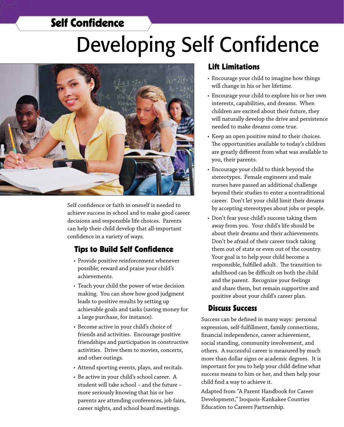## Self Confidence

# Developing Self Confidence



Self confidence or faith in oneself is needed to achieve success in school and to make good career decisions and responsible life choices. Parents can help their child develop that all-important confidence in a variety of ways.

#### Tips to Build Self Confidence

- Provide positive reinforcement whenever possible; reward and praise your child's achievements.
- Teach your child the power of wise decision making. You can show how good judgment leads to positive results by setting up achievable goals and tasks (saving money for a large purchase, for instance).
- Become active in your child's choice of friends and activities. Encourage positive friendships and participation in constructive activities. Drive them to movies, concerts, and other outings.
- • Attend sporting events, plays, and recitals.
- Be active in your child's school career. A student will take school – and the future – more seriously knowing that his or her parents are attending conferences, job fairs, career nights, and school board meetings.

#### Lift Limitations

- • Encourage your child to imagine how things will change in his or her lifetime.
- Encourage your child to explore his or her own interests, capabilities, and dreams. When children are excited about their future, they will naturally develop the drive and persistence needed to make dreams come true.
- Keep an open positive mind to their choices. The opportunities available to today's children are greatly different from what was available to you, their parents.
- • Encourage your child to think beyond the stereotypes. Female engineers and male nurses have passed an additional challenge beyond their studies to enter a nontraditional career. Don't let your child limit their dreams by accepting stereotypes about jobs or people.
- Don't fear your child's success taking them away from you. Your child's life should be about their dreams and their achievements. Don't be afraid of their career track taking them out of state or even out of the country. Your goal is to help your child become a responsible, fulfilled adult. The transition to adulthood can be difficult on both the child and the parent. Recognize your feelings and share them, but remain supportive and positive about your child's career plan.

#### Discuss Success

Success can be defined in many ways: personal expression, self-fulfillment, family connections, financial independence, career achievement, social standing, community involvement, and others. A successful career is measured by much more than dollar signs or academic degrees. It is important for you to help your child define what success means to him or her, and then help your child find a way to achieve it.

Adapted from "A Parent Handbook for Career Development," Iroquois-Kankakee Counties Education to Careers Partnership.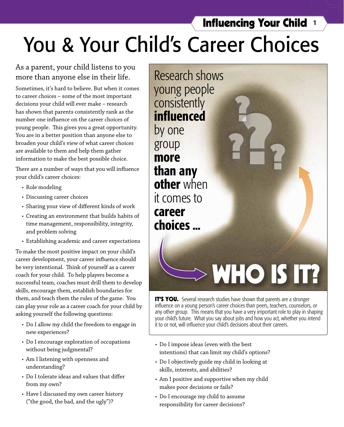# You & Your Child's Career Choices

#### As a parent, your child listens to you more than anyone else in their life.

Sometimes, it's hard to believe. But when it comes to career choices – some of the most important decisions your child will ever make – research has shown that parents consistently rank as the number one influence on the career choices of young people. This gives you a great opportunity. You are in a better position than anyone else to broaden your child's view of what career choices are available to them and help them gather information to make the best possible choice.

There are a number of ways that you will influence your child's career choices:

- Role modeling
- Discussing career choices
- • Sharing your view of different kinds of work
- • Creating an environment that builds habits of time management, responsibility, integrity, and problem solving
- • Establishing academic and career expectations

To make the most positive impact on your child's career development, your career influence should be very intentional. Think of yourself as a career coach for your child. To help players become a successful team, coaches must drill them to develop skills, encourage them, establish boundaries for them, and teach them the rules of the game. You can play your role as a career coach for your child by asking yourself the following questions:

- Do I allow my child the freedom to engage in new experiences?
- Do I encourage exploration of occupations without being judgmental?
- Am I listening with openness and understanding?
- Do I tolerate ideas and values that differ from my own?
- Have I discussed my own career history ("the good, the bad, and the ugly")?

Research shows young people consistently influenced by one group more than any other when it comes to career choices ...

# $>$  WHO IS IT?

Influencing Your Child <sup>1</sup>

?<br>???

?

**IT'S YOU.** Several research studies have shown that parents are a stronger influence on a young person's career choices than peers, teachers, counselors, or any other group. This means that you have a very important role to play in shaping your child's future. What you say about jobs and how you act, whether you intend it to or not, will influence your child's decisions about their careers.

- • Do I impose ideas (even with the best intentions) that can limit my child's options?
- Do I objectively guide my child in looking at skills, interests, and abilities?
- Am I positive and supportive when my child makes poor decisions or fails?
- Do I encourage my child to assume responsibility for career decisions?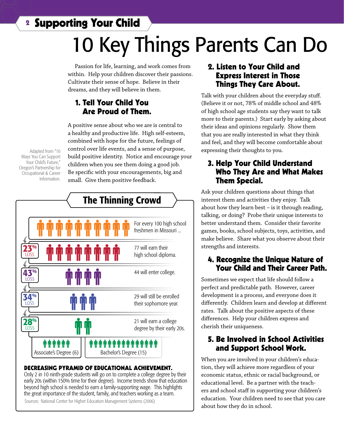<sup>2</sup> Supporting Your Child

# 10 Key Things Parents Can Do

Passion for life, learning, and work comes from within. Help your children discover their passions. Cultivate their sense of hope. Believe in their dreams, and they will believe in them.

#### 1. Tell Your Child You Are Proud of Them.

A positive sense about who we are is central to a healthy and productive life. High self-esteem, combined with hope for the future, feelings of control over life events, and a sense of purpose, build positive identity. Notice and encourage your children when you see them doing a good job. Be specific with your encouragements, big and small. Give them positive feedback.

*<u><i><b>ODD*</u> Associate's Degree (6) | | Bachelor's Degree (15) יהיים יחיים יחיים יחיים יחיים יחיים יחיים For every 100 high school freshmen in Missouri ... 29 will still be enrolled their sophomore year. 44 will enter college. 77 will earn their high school diploma. 21 will earn a college degree by their early 20s. 23<sup>%</sup> 28% LOSS 34% **LOSS** 43% **LOSS** The Thinning Crowd

#### DECREASING PYRAMID OF EDUCATIONAL ACHIEVEMENT.

Only 2 in 10 ninth-grade students will go on to complete a college degree by their early 20s (within 150% time for their degree). Income trends show that education beyond high school is needed to earn a family-supporting wage. This highlights the great importance of the student, family, and teachers working as a team. Sources: National Center for Higher Education Management Systems (2006)

#### 2. Listen to Your Child and Express Interest in Those Things They Care About.

Talk with your children about the everyday stuff. (Believe it or not, 78% of middle school and 48% of high school age students say they want to talk more to their parents.) Start early by asking about their ideas and opinions regularly. Show them that you are really interested in what they think and feel, and they will become comfortable about expressing their thoughts to you.

#### 3. Help Your Child Understand Who They Are and What Makes Them Special.

Ask your children questions about things that interest them and activities they enjoy. Talk about how they learn best – is it through reading, talking, or doing? Probe their unique interests to better understand them. Consider their favorite games, books, school subjects, toys, activities, and make believe. Share what you observe about their strengths and interests.

#### 4. Recognize the Unique Nature of Your Child and Their Career Path.

Sometimes we expect that life should follow a perfect and predictable path. However, career development is a process, and everyone does it differently. Children learn and develop at different rates. Talk about the positive aspects of these differences. Help your children express and cherish their uniqueness.

#### 5. Be Involved in School Activities and Support School Work.

When you are involved in your children's education, they will achieve more regardless of your economic status, ethnic or racial background, or educational level. Be a partner with the teachers and school staff in supporting your children's education. Your children need to see that you care about how they do in school.

Adapted from "10 Ways You Can Support Your Child's Future," Oregon's Partnership for Occupational & Career Information.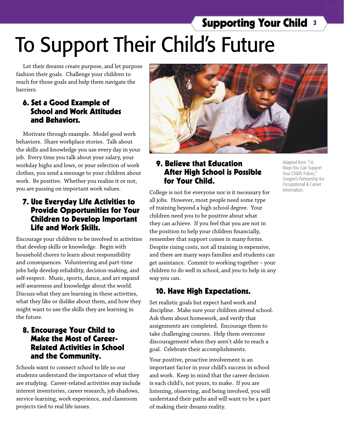# To Support Their Child's Future Supporting Your Child <sup>3</sup>

Let their dreams create purpose, and let purpose fashion their goals. Challenge your children to reach for those goals and help them navigate the barriers.

#### 6. Set a Good Example of School and Work Attitudes and Behaviors.

Motivate through example. Model good work behaviors. Share workplace stories. Talk about the skills and knowledge you use every day in your job. Every time you talk about your salary, your workday highs and lows, or your selection of work clothes, you send a message to your children about work. Be positive. Whether you realize it or not, you are passing on important work values.

#### 7. Use Everyday Life Activities to Provide Opportunities for Your Children to Develop Important Life and Work Skills.

Encourage your children to be involved in activities that develop skills or knowledge. Begin with household chores to learn about responsibility and consequences. Volunteering and part-time jobs help develop reliability, decision-making, and self-respect. Music, sports, dance, and art expand self-awareness and knowledge about the world. Discuss what they are learning in these activities, what they like or dislike about them, and how they might want to use the skills they are learning in the future.

#### 8. Encourage Your Child to Make the Most of Career-Related Activities in School and the Community.

Schools want to connect school to life so our students understand the importance of what they are studying. Career-related activities may include interest inventories, career research, job shadows, service-learning, work experience, and classroom projects tied to real life issues.



#### 9. Believe that Education After High School is Possible for Your Child.

College is not for everyone nor is it necessary for all jobs. However, most people need some type of training beyond a high school degree. Your children need you to be positive about what they can achieve. If you feel that you are not in the position to help your children financially, remember that support comes in many forms. Despite rising costs, not all training is expensive, and there are many ways families and students can get assistance. Commit to working together – your children to do well in school, and you to help in any way you can.

#### 10. Have High Expectations.

Set realistic goals but expect hard work and discipline. Make sure your children attend school. Ask them about homework, and verify that assignments are completed. Encourage them to take challenging courses. Help them overcome discouragement when they aren't able to reach a goal. Celebrate their accomplishments.

Your positive, proactive involvement is an important factor in your child's success in school and work. Keep in mind that the career decision is each child's, not yours, to make. If you are listening, observing, and being involved, you will understand their paths and will want to be a part of making their dreams reality.

Adapted from "10 Ways You Can Support Your Child's Future," Oregon's Partnership for Occupational & Career Information.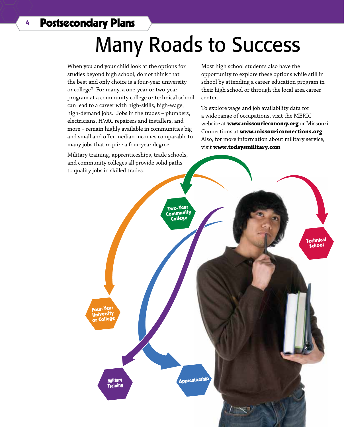## <sup>4</sup> Postsecondary Plans

# Many Roads to Success

When you and your child look at the options for studies beyond high school, do not think that the best and only choice is a four-year university or college? For many, a one-year or two-year program at a community college or technical school can lead to a career with high-skills, high-wage, high-demand jobs. Jobs in the trades – plumbers, electricians, HVAC repairers and installers, and more – remain highly available in communities big and small and offer median incomes comparable to many jobs that require a four-year degree.

Military training, apprenticeships, trade schools, and community colleges all provide solid paths to quality jobs in skilled trades.

Most high school students also have the opportunity to explore these options while still in school by attending a career education program in their high school or through the local area career center.

To explore wage and job availability data for a wide range of occupations, visit the MERIC website at **www.missourieconomy.org** or Missouri Connections at **www.missouriconnections.org**. Also, for more information about military service, visit **www.todaysmilitary.com**.

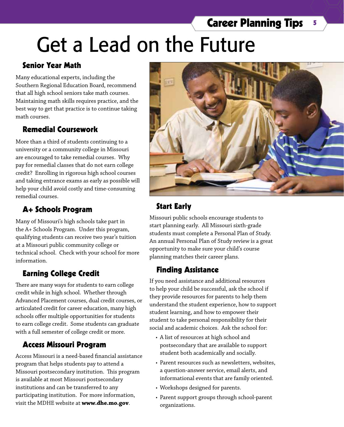# **Career Planning Tips 5**

# Get a Lead on the Future

#### Senior Year Math

Many educational experts, including the Southern Regional Education Board, recommend that all high school seniors take math courses. Maintaining math skills requires practice, and the best way to get that practice is to continue taking math courses.

#### Remedial Coursework

More than a third of students continuing to a university or a community college in Missouri are encouraged to take remedial courses. Why pay for remedial classes that do not earn college credit? Enrolling in rigorous high school courses and taking entrance exams as early as possible will help your child avoid costly and time-consuming remedial courses.

#### A+ Schools Program

Many of Missouri's high schools take part in the A+ Schools Program. Under this program, qualifying students can receive two year's tuition at a Missouri public community college or technical school. Check with your school for more information.

### Earning College Credit

There are many ways for students to earn college credit while in high school. Whether through Advanced Placement courses, dual credit courses, or articulated credit for career education, many high schools offer multiple opportunities for students to earn college credit. Some students can graduate with a full semester of college credit or more.

#### Access Missouri Program

Access Missouri is a need-based financial assistance program that helps students pay to attend a Missouri postsecondary institution. This program is available at most Missouri postsecondary institutions and can be transferred to any participating institution. For more information, visit the MDHE website at **www.dhe.mo.gov**.



## Start Early

Missouri public schools encourage students to start planning early. All Missouri sixth-grade students must complete a Personal Plan of Study. An annual Personal Plan of Study review is a great opportunity to make sure your child's course planning matches their career plans.

#### Finding Assistance

If you need assistance and additional resources to help your child be successful, ask the school if they provide resources for parents to help them understand the student experience, how to support student learning, and how to empower their student to take personal responsibility for their social and academic choices. Ask the school for:

- • A list of resources at high school and postsecondary that are available to support student both academically and socially.
- • Parent resources such as newsletters, websites, a question-answer service, email alerts, and informational events that are family oriented.
- Workshops designed for parents.
- • Parent support groups through school-parent organizations.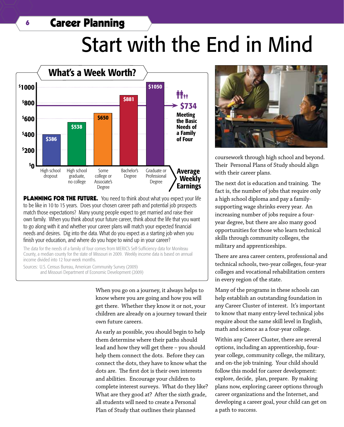## <sup>6</sup> Career Planning

# Start with the End in Mind



**PLANNING FOR THE FUTURE.** You need to think about what you expect your life to be like in 10 to 15 years. Does your chosen career path and potential job prospects match those expectations? Many young people expect to get married and raise their own family. When you think about your future career, think about the life that you want to go along with it and whether your career plans will match your expected financial needs and desires. Dig into the data. What do you expect as a starting job when you finish your education, and where do you hope to wind up in your career?

The data for the needs of a family of four comes from MERIC's Self-Sufficiency data for Moniteau County, a median county for the state of Missouri in 2009. Weekly income data is based on annual income divided into 12 four-week months.

Sources: U.S. Census Bureau, American Community Survey (2009) and Missouri Department of Economic Development (2009)

> When you go on a journey, it always helps to know where you are going and how you will get there. Whether they know it or not, your children are already on a journey toward their own future careers.

As early as possible, you should begin to help them determine where their paths should lead and how they will get there – you should help them connect the dots. Before they can connect the dots, they have to know what the dots are. The first dot is their own interests and abilities. Encourage your children to complete interest surveys. What do they like? What are they good at? After the sixth grade, all students will need to create a Personal Plan of Study that outlines their planned



coursework through high school and beyond. Their Personal Plans of Study should align with their career plans.

The next dot is education and training. The fact is, the number of jobs that require only a high school diploma and pay a familysupporting wage shrinks every year. An increasing number of jobs require a fouryear degree, but there are also many good opportunities for those who learn technical skills through community colleges, the military and apprenticeships.

There are area career centers, professional and technical schools, two-year colleges, four-year colleges and vocational rehabilitation centers in every region of the state.

Many of the programs in these schools can help establish an outstanding foundation in any Career Cluster of interest. It's important to know that many entry-level technical jobs require about the same skill level in English, math and science as a four-year college.

Within any Career Cluster, there are several options, including an apprenticeship, fouryear college, community college, the military, and on-the job training. Your child should follow this model for career development: explore, decide, plan, prepare. By making plans now, exploring career options through career organizations and the Internet, and developing a career goal, your child can get on a path to success.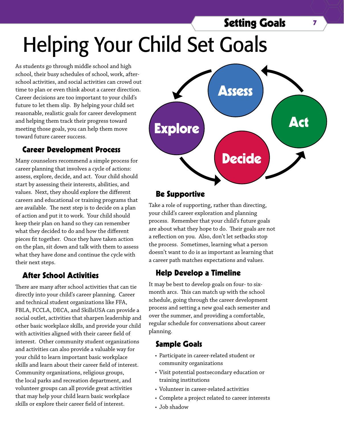## **Setting Goals** 7

# Helping Your Child Set Goals

As students go through middle school and high school, their busy schedules of school, work, afterschool activities, and social activities can crowd out time to plan or even think about a career direction. Career decisions are too important to your child's future to let them slip. By helping your child set reasonable, realistic goals for career development and helping them track their progress toward meeting those goals, you can help them move toward future career success.

#### Career Development Process

Many counselors recommend a simple process for career planning that involves a cycle of actions: assess, explore, decide, and act. Your child should start by assessing their interests, abilities, and values. Next, they should explore the different careers and educational or training programs that are available. The next step is to decide on a plan of action and put it to work. Your child should keep their plan on hand so they can remember what they decided to do and how the different pieces fit together. Once they have taken action on the plan, sit down and talk with them to assess what they have done and continue the cycle with their next steps.

#### After School Activities

There are many after school activities that can tie directly into your child's career planning. Career and technical student organizations like FFA, FBLA, FCCLA, DECA, and SkillsUSA can provide a social outlet, activities that sharpen leadership and other basic workplace skills, and provide your child with activities aligned with their career field of interest. Other community student organizations and activities can also provide a valuable way for your child to learn important basic workplace skills and learn about their career field of interest. Community organizations, religious groups, the local parks and recreation department, and volunteer groups can all provide great activities that may help your child learn basic workplace skills or explore their career field of interest.



#### Be Supportive

Take a role of supporting, rather than directing, your child's career exploration and planning process. Remember that your child's future goals are about what they hope to do. Their goals are not a reflection on you. Also, don't let setbacks stop the process. Sometimes, learning what a person doesn't want to do is as important as learning that a career path matches expectations and values.

#### Help Develop a Timeline

It may be best to develop goals on four- to sixmonth arcs. This can match up with the school schedule, going through the career development process and setting a new goal each semester and over the summer, and providing a comfortable, regular schedule for conversations about career planning.

#### Sample Goals

- Participate in career-related student or community organizations
- • Visit potential postsecondary education or training institutions
- • Volunteer in career-related activities
- • Complete a project related to career interests
- Job shadow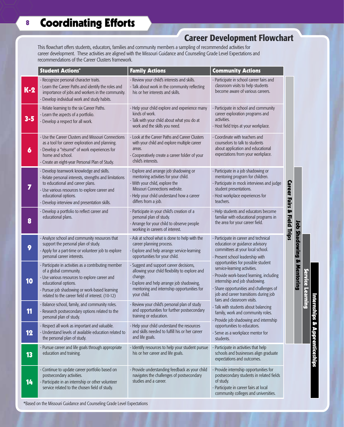## Career Development Flowchart

This flowchart offers students, educators, families and community members a sampling of recommended activities for career development. These activities are aligned with the Missouri Guidance and Counseling Grade Level Expectations and recommendations of the Career Clusters framework.

|         | <b>Student Actions*</b>                                                                                                                                                                                                                                         | <b>Family Actions</b>                                                                                                                                                                                                 | <b>Community Actions</b>                                                                                                                                                                                                                                           |  |  |
|---------|-----------------------------------------------------------------------------------------------------------------------------------------------------------------------------------------------------------------------------------------------------------------|-----------------------------------------------------------------------------------------------------------------------------------------------------------------------------------------------------------------------|--------------------------------------------------------------------------------------------------------------------------------------------------------------------------------------------------------------------------------------------------------------------|--|--|
| $K-2$   | - Recognize personal character traits.<br>- Learn the Career Paths and identify the roles and<br>importance of jobs and workers in the community.<br>- Develop individual work and study habits.                                                                | - Review your child's interests and skills.<br>- Talk about work in the community reflecting<br>his or her interests and skills.                                                                                      | - Participate in school career fairs and<br>classroom visits to help students<br>become aware of various careers.                                                                                                                                                  |  |  |
| $3 - 5$ | - Relate learning to the six Career Paths.<br>- Learn the aspects of a portfolio.<br>- Develop a respect for all work.                                                                                                                                          | - Help your child explore and experience many<br>kinds of work.<br>- Talk with your child about what you do at<br>work and the skills you need.                                                                       | - Participate in school and community<br>career exploration programs and<br>activities.<br>- Host field trips at your workplace.                                                                                                                                   |  |  |
| 6       | - Use the Career Clusters and Missouri Connections<br>as a tool for career exploration and planning.<br>- Develop a "résumé" of work experiences for<br>home and school.<br>- Create an eight-year Personal Plan of Study.                                      | - Look at the Career Paths and Career Clusters<br>with your child and explore multiple career<br>areas.<br>- Cooperatively create a career folder of your<br>child's interests.                                       | - Coordinate with teachers and<br>counselors to talk to students<br>about application and educational<br>expectations from your workplace.                                                                                                                         |  |  |
| 7       | - Develop teamwork knowledge and skills.<br>- Relate personal interests, strengths and limitations<br>to educational and career plans.<br>- Use various resources to explore career and<br>educational options.<br>- Develop interview and presentation skills. | - Explore and arrange job shadowing or<br>mentoring activities for your child.<br>- With your child, explore the<br>Missouri Connections website.<br>- Help your child understand how a career<br>differs from a job. | - Participate in a job shadowing or<br>mentoring program for children.<br>- Participate in mock interviews and judge<br>student presentations.<br>- Host workplace experiences for<br>teachers.                                                                    |  |  |
| 8       | - Develop a portfolio to reflect career and<br>educational plans.                                                                                                                                                                                               | - Participate in your child's creation of a<br>personal plan of study.<br>- Arrange for your child to observe people<br>working in careers of interest.                                                               | - Help students and educators become<br><b>Field Trips</b><br>familiar with educational programs in<br>the area for your career field.                                                                                                                             |  |  |
| 9       | - Analyze school and community resources that<br>support the personal plan of study.<br>- Apply for a part-time or volunteer job to explore<br>personal career interests.                                                                                       | - Ask at school what is done to help with the<br>career planning process.<br>- Explore and help arrange service-learning<br>opportunities for your child.                                                             | - Participate in career and technical<br>education or guidance advisory<br>committees at your local school.<br>- Present school leadership with                                                                                                                    |  |  |
| 10      | - Participate in activities as a contributing member<br>of a global community.<br>- Use various resources to explore career and<br>educational options.<br>- Pursue job shadowing or work-based learning<br>related to the career field of interest. (10-12)    | - Suggest and support career decisions,<br>allowing your child flexibility to explore and<br>change.<br>- Explore and help arrange job shadowing,<br>mentoring and internship opportunities for<br>your child.        | opportunities for possible student<br>service-learning activities.<br>- Provide work-based learning, including<br>internship and job shadowing.<br>- Share opportunities and challenges of<br>job and career transitions during job<br>fairs and classroom visits. |  |  |
| 11      | - Balance school, family, and community roles.<br>- Research postsecondary options related to the<br>personal plan of study.                                                                                                                                    | - Review your child's personal plan of study<br>and opportunities for further postsecondary<br>training or education.                                                                                                 | - Talk with students about balancing<br>family, work and community roles.<br>- Provide job shadowing and internship                                                                                                                                                |  |  |
| 12      | - Respect all work as important and valuable.<br>- Understand levels of available education related to<br>the personal plan of study.                                                                                                                           | - Help your child understand the resources<br>and skills needed to fulfill his or her career<br>and life goals.                                                                                                       | opportunities to educators.<br>- Serve as a workplace mentor for<br>students.                                                                                                                                                                                      |  |  |
| 13      | - Pursue career and life goals through appropriate<br>education and training.                                                                                                                                                                                   | - Identify resources to help your student pursue<br>his or her career and life goals.                                                                                                                                 | - Participate in activities that help<br>schools and businesses align graduate<br>expectations and outcomes.                                                                                                                                                       |  |  |
| 14      | - Continue to update career portfolio based on<br>postsecondary activities.<br>- Participate in an internship or other volunteer<br>service related to the chosen field of study.                                                                               | - Provide understanding feedback as your child<br>navigates the challenges of postsecondary<br>studies and a career.                                                                                                  | - Provide internship opportunities for<br>postsecondary students in related fields<br>of study.<br>- Participate in career fairs at local<br>community colleges and universities.                                                                                  |  |  |

renticı

Job Shadowing & Mentoring

Job Shadowing & Mentoring

\*Based on the Missouri Guidance and Counseling Grade Level Expectations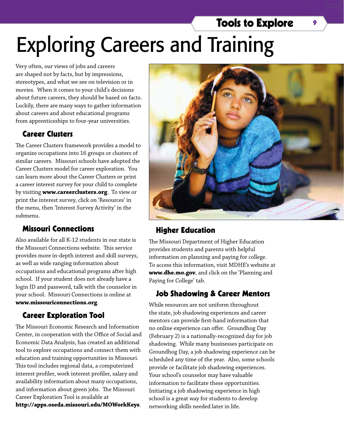# Tools to Explore 9 Exploring Careers and Training

Very often, our views of jobs and careers are shaped not by facts, but by impressions, stereotypes, and what we see on television or in movies. When it comes to your child's decisions about future careers, they should be based on facts. Luckily, there are many ways to gather information about careers and about educational programs from apprenticeships to four-year universities.

#### Career Clusters

The Career Clusters framework provides a model to organize occupations into 16 groups or clusters of similar careers. Missouri schools have adopted the Career Clusters model for career exploration. You can learn more about the Career Clusters or print a career interest survey for your child to complete by visiting **www.careerclusters.org**. To view or print the interest survey, click on 'Resources' in the menu, then 'Interest Survey Activity' in the submenu.

#### Missouri Connections

Also available for all K-12 students in our state is the Missouri Connections website. This service provides more in-depth interest and skill surveys, as well as wide ranging information about occupations and educational programs after high school. If your student does not already have a login ID and password, talk with the counselor in your school. Missouri Connections is online at **www.missouriconnections.org**.

#### Career Exploration Tool

The Missouri Economic Research and Information Center, in cooperation with the Office of Social and Economic Data Analysis, has created an additional tool to explore occupations and connect them with education and training opportunities in Missouri. This tool includes regional data, a computerized interest profiler, work interest profiler, salary and availability information about many occupations, and information about green jobs. The Missouri Career Exploration Tool is available at

**http://apps.oseda.missouri.edu/MOWorkKeys**.



#### Higher Education

The Missouri Department of Higher Education provides students and parents with helpful information on planning and paying for college. To access this information, visit MDHE's website at **www.dhe.mo.gov**, and click on the 'Planning and Paying for College' tab.

#### Job Shadowing & Career Mentors

While resources are not uniform throughout the state, job shadowing experiences and career mentors can provide first-hand information that no online experience can offer. Groundhog Day (February 2) is a nationally-recognized day for job shadowing. While many businesses participate on Groundhog Day, a job shadowing experience can be scheduled any time of the year. Also, some schools provide or facilitate job shadowing experiences. Your school's counselor may have valuable information to facilitate these opportunities. Initiating a job shadowing experience in high school is a great way for students to develop networking skills needed later in life.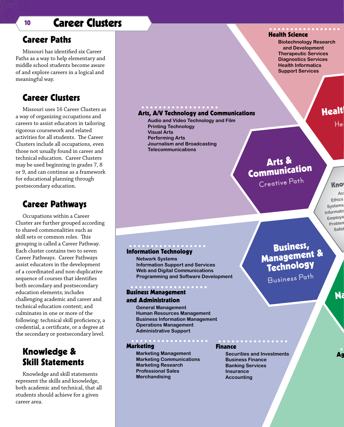## <sup>10</sup> Career Clusters

#### Career Paths

Missouri has identified six Career Paths as a way to help elementary and middle school students become aware of and explore careers in a logical and meaningful way.

#### Career Clusters

Missouri uses 16 Career Clusters as a way of organizing occupations and careers to assist educators in tailoring rigorous coursework and related activities for all students. The Career Clusters include all occupations, even those not usually found in career and technical education. Career Clusters may be used beginning in grades 7, 8 or 9, and can continue as a framework for educational planning through postsecondary education.

#### Career Pathways

Occupations within a Career Cluster are further grouped according to shared commonalities such as skill sets or common roles. This grouping is called a Career Pathway. Each cluster contains two to seven Career Pathways. Career Pathways assist educators in the development of a coordinated and non-duplicative sequence of courses that identifies both secondary and postsecondary education elements; includes challenging academic and career and technical education content; and culminates in one or more of the following: technical skill proficiency, a credential, a certificate, or a degree at the secondary or postsecondary level.

### Knowledge & Skill Statements

Knowledge and skill statements represent the skills and knowledge, both academic and technical, that all students should achieve for a given career area.

#### Arts, A/V Technology and Communications

**Audio and Video Technology and Film Printing Technology Visual Arts Performing Arts Journalism and Broadcasting Telecommunications**

#### Information Technology

**Network Systems Information Support and Services Web and Digital Communications Programming and Software Development**

#### Business Management and Administration

#### **General Management Human Resources Management Business Information Management Operations Management**

Marketing

**Marketing Management Marketing Communications Marketing Research Professional Sales Merchandising**

**Administrative Support**

#### Finance

**Securities and Investments Business Finance Banking Services Insurance Accounting**

#### Health Science

**Biotechnology Research and Development Therapeutic Services Diagnostics Services Health Informatics Support Services**

Healt

**Health Pat<sup>h</sup>**

## Arts & Communication

**Creative Path**

#### Know Ac: **Ethics & Legal Responsibilities Systems Informational Technology Applications** <sub>1</sub>formatic<br>Employa <sub>:</sub>mploya<br>Problen <sub>oblen</sub><br>Safet

# Business,<br>
Management &<br>
Technology

**Business Path**

Na<br>Na

Ag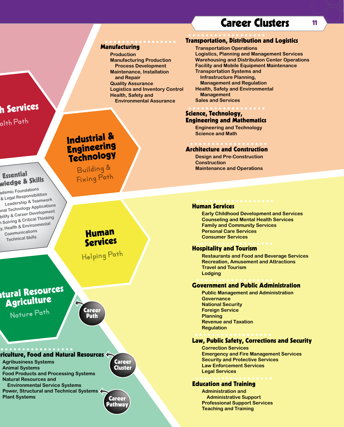## Career Clusters 11

#### Transportation, Distribution and Logistics

#### Manufacturing **Production**

**Manufacturing Production Process Development Maintenance, Installation and Repair Quality Assurance Logistics and Inventory Control Health, Safety and Environmental Assurance**

**Transportation Operations Logistics, Planning and Management Services Warehousing and Distribution Center Operations Facility and Mobile Equipment Maintenance Transportation Systems and Infrastructure Planning, Management and Regulation Health, Safety and Environmental Management Sales and Services**

#### Science, Technology, Engineering and Mathematics

**Engineering and Technology Science and Math**

#### Architecture and Construction

**Design and Pre-Construction Construction Maintenance and Operations**

#### Human Services

**Early Childhood Development and Services Counseling and Mental Health Services Family and Community Services Personal Care Services Consumer Services**

#### Hospitality and Tourism

**Restaurants and Food and Beverage Services Recreation, Amusement and Attractions Travel and Tourism Lodging**

#### Government and Public Administration

**Public Management and Administration Governance National Security Foreign Service Planning Revenue and Taxation Regulation**

#### Law, Public Safety, Corrections and Security

**Correction Services Emergency and Fire Management Services Security and Protective Services Law Enforcement Services Legal Services**

#### Education and Training

**Administration and Administrative Support Professional Support Services Teaching and Training**

# h Services

**Health Pat<sup>h</sup>**

Essential wledge & Skills

## Industrial & Engineering **Technology**

**Building & Fixing Path**

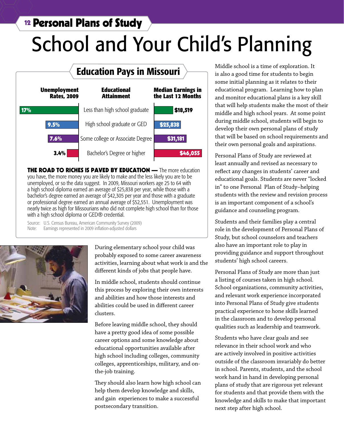## <sup>12</sup> Personal Plans of Study

# School and Your Child's Planning



**THE ROAD TO RICHES IS PAVED BY EDUCATION —** The more education you have, the more money you are likely to make and the less likely you are to be unemployed, or so the data suggest. In 2009, Missouri workers age 25 to 64 with a high school diploma earned an average of \$25,838 per year, while those with a bachelor's degree earned an average of \$42,305 per year and those with a graduate or professional degree earned an annual average of \$52,551. Unemployment was nearly twice as high for Missourians who did not complete high school than for those with a high school diploma or GED® credential.

Source: U.S. Census Bureau, American Community Survey (2009) Note: Earnings represented in 2009 inflation-adjusted dollars



During elementary school your child was probably exposed to some career awareness activities, learning about what work is and the different kinds of jobs that people have.

In middle school, students should continue this process by exploring their own interests and abilities and how those interests and abilities could be used in different career clusters.

Before leaving middle school, they should have a pretty good idea of some possible career options and some knowledge about educational opportunities available after high school including colleges, community colleges, apprenticeships, military, and onthe-job training.

They should also learn how high school can help them develop knowledge and skills, and gain experiences to make a successful postsecondary transition.

Middle school is a time of exploration. It is also a good time for students to begin some initial planning as it relates to their educational program. Learning how to plan and monitor educational plans is a key skill that will help students make the most of their middle and high school years. At some point during middle school, students will begin to develop their own personal plans of study that will be based on school requirements and their own personal goals and aspirations.

Personal Plans of Study are reviewed at least annually and revised as necessary to reflect any changes in students' career and educational goals. Students are never "locked in" to one Personal Plan of Study–helping students with the review and revision process is an important component of a school's guidance and counseling program.

Students and their families play a central role in the development of Personal Plans of Study, but school counselors and teachers also have an important role to play in providing guidance and support throughout students' high school careers.

Personal Plans of Study are more than just a listing of courses taken in high school. School organizations, community activities, and relevant work experience incorporated into Personal Plans of Study give students practical experience to hone skills learned in the classroom and to develop personal qualities such as leadership and teamwork.

Students who have clear goals and see relevance in their school work and who are actively involved in positive activities outside of the classroom invariably do better in school. Parents, students, and the school work hand in hand in developing personal plans of study that are rigorous yet relevant for students and that provide them with the knowledge and skills to make that important next step after high school.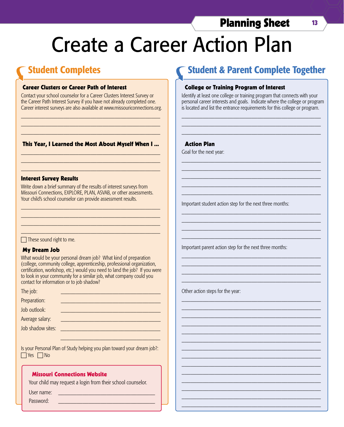## Planning Sheet 13

# Create a Career Action Plan

## Student Completes

#### Career Clusters or Career Path of Interest

Contact your school counselor for a Career Clusters Interest Survey or the Career Path Interest Survey if you have not already completed one. Career interest surveys are also available at www.missouriconnections.org.

\_\_\_\_\_\_\_\_\_\_\_\_\_\_\_\_\_\_\_\_\_\_\_\_\_\_\_\_\_\_\_\_\_\_\_\_\_\_\_\_\_\_\_\_\_\_ \_\_\_\_\_\_\_\_\_\_\_\_\_\_\_\_\_\_\_\_\_\_\_\_\_\_\_\_\_\_\_\_\_\_\_\_\_\_\_\_\_\_\_\_\_\_ \_\_\_\_\_\_\_\_\_\_\_\_\_\_\_\_\_\_\_\_\_\_\_\_\_\_\_\_\_\_\_\_\_\_\_\_\_\_\_\_\_\_\_\_\_\_

#### This Year, I Learned the Most About Myself When I ... \_\_\_\_\_\_\_\_\_\_\_\_\_\_\_\_\_\_\_\_\_\_\_\_\_\_\_\_\_\_\_\_\_\_\_\_\_\_\_\_\_\_\_\_\_\_

\_\_\_\_\_\_\_\_\_\_\_\_\_\_\_\_\_\_\_\_\_\_\_\_\_\_\_\_\_\_\_\_\_\_\_\_\_\_\_\_\_\_\_\_\_\_ \_\_\_\_\_\_\_\_\_\_\_\_\_\_\_\_\_\_\_\_\_\_\_\_\_\_\_\_\_\_\_\_\_\_\_\_\_\_\_\_\_\_\_\_\_\_

#### Interest Survey Results

Write down a brief summary of the results of interest surveys from Missouri Connections, EXPLORE, PLAN, ASVAB, or other assessments. Your child's school counselor can provide assessment results.

\_\_\_\_\_\_\_\_\_\_\_\_\_\_\_\_\_\_\_\_\_\_\_\_\_\_\_\_\_\_\_\_\_\_\_\_\_\_\_\_\_\_\_\_\_\_ \_\_\_\_\_\_\_\_\_\_\_\_\_\_\_\_\_\_\_\_\_\_\_\_\_\_\_\_\_\_\_\_\_\_\_\_\_\_\_\_\_\_\_\_\_\_ \_\_\_\_\_\_\_\_\_\_\_\_\_\_\_\_\_\_\_\_\_\_\_\_\_\_\_\_\_\_\_\_\_\_\_\_\_\_\_\_\_\_\_\_\_\_ \_\_\_\_\_\_\_\_\_\_\_\_\_\_\_\_\_\_\_\_\_\_\_\_\_\_\_\_\_\_\_\_\_\_\_\_\_\_\_\_\_\_\_\_\_\_

#### $\Box$  These sound right to me.

#### My Dream Job

What would be your personal dream job? What kind of preparation (college, community college, apprenticeship, professional organization, certification, workshop, etc.) would you need to land the job? If you were to look in your community for a similar job, what company could you contact for information or to job shadow?

| The job:          |  |
|-------------------|--|
| Preparation:      |  |
| Job outlook:      |  |
| Average salary:   |  |
| Job shadow sites: |  |
|                   |  |

Is your Personal Plan of Study helping you plan toward your dream job?:  $\Box$  Yes  $\Box$  No

\_\_\_\_\_\_\_\_\_\_\_\_\_\_\_\_\_\_\_\_\_\_\_\_\_\_\_\_\_\_\_\_\_

#### Missouri Connections Website

Your child may request a login from their school counselor.

User name:

Password:

## Student & Parent Complete Together

#### College or Training Program of Interest

Identify at least one college or training program that connects with your personal career interests and goals. Indicate where the college or program is located and list the entrance requirements for this college or program.

\_\_\_\_\_\_\_\_\_\_\_\_\_\_\_\_\_\_\_\_\_\_\_\_\_\_\_\_\_\_\_\_\_\_\_\_\_\_\_\_\_\_\_\_\_\_ \_\_\_\_\_\_\_\_\_\_\_\_\_\_\_\_\_\_\_\_\_\_\_\_\_\_\_\_\_\_\_\_\_\_\_\_\_\_\_\_\_\_\_\_\_\_ \_\_\_\_\_\_\_\_\_\_\_\_\_\_\_\_\_\_\_\_\_\_\_\_\_\_\_\_\_\_\_\_\_\_\_\_\_\_\_\_\_\_\_\_\_\_

\_\_\_\_\_\_\_\_\_\_\_\_\_\_\_\_\_\_\_\_\_\_\_\_\_\_\_\_\_\_\_\_\_\_\_\_\_\_\_\_\_\_\_\_\_\_ \_\_\_\_\_\_\_\_\_\_\_\_\_\_\_\_\_\_\_\_\_\_\_\_\_\_\_\_\_\_\_\_\_\_\_\_\_\_\_\_\_\_\_\_\_\_ \_\_\_\_\_\_\_\_\_\_\_\_\_\_\_\_\_\_\_\_\_\_\_\_\_\_\_\_\_\_\_\_\_\_\_\_\_\_\_\_\_\_\_\_\_\_ \_\_\_\_\_\_\_\_\_\_\_\_\_\_\_\_\_\_\_\_\_\_\_\_\_\_\_\_\_\_\_\_\_\_\_\_\_\_\_\_\_\_\_\_\_\_ \_\_\_\_\_\_\_\_\_\_\_\_\_\_\_\_\_\_\_\_\_\_\_\_\_\_\_\_\_\_\_\_\_\_\_\_\_\_\_\_\_\_\_\_\_\_

\_\_\_\_\_\_\_\_\_\_\_\_\_\_\_\_\_\_\_\_\_\_\_\_\_\_\_\_\_\_\_\_\_\_\_\_\_\_\_\_\_\_\_\_\_\_ \_\_\_\_\_\_\_\_\_\_\_\_\_\_\_\_\_\_\_\_\_\_\_\_\_\_\_\_\_\_\_\_\_\_\_\_\_\_\_\_\_\_\_\_\_\_ \_\_\_\_\_\_\_\_\_\_\_\_\_\_\_\_\_\_\_\_\_\_\_\_\_\_\_\_\_\_\_\_\_\_\_\_\_\_\_\_\_\_\_\_\_\_ \_\_\_\_\_\_\_\_\_\_\_\_\_\_\_\_\_\_\_\_\_\_\_\_\_\_\_\_\_\_\_\_\_\_\_\_\_\_\_\_\_\_\_\_\_\_

\_\_\_\_\_\_\_\_\_\_\_\_\_\_\_\_\_\_\_\_\_\_\_\_\_\_\_\_\_\_\_\_\_\_\_\_\_\_\_\_\_\_\_\_\_\_ \_\_\_\_\_\_\_\_\_\_\_\_\_\_\_\_\_\_\_\_\_\_\_\_\_\_\_\_\_\_\_\_\_\_\_\_\_\_\_\_\_\_\_\_\_\_ \_\_\_\_\_\_\_\_\_\_\_\_\_\_\_\_\_\_\_\_\_\_\_\_\_\_\_\_\_\_\_\_\_\_\_\_\_\_\_\_\_\_\_\_\_\_ \_\_\_\_\_\_\_\_\_\_\_\_\_\_\_\_\_\_\_\_\_\_\_\_\_\_\_\_\_\_\_\_\_\_\_\_\_\_\_\_\_\_\_\_\_\_

\_\_\_\_\_\_\_\_\_\_\_\_\_\_\_\_\_\_\_\_\_\_\_\_\_\_\_\_\_\_\_\_\_\_\_\_\_\_\_\_\_\_\_\_\_\_ \_\_\_\_\_\_\_\_\_\_\_\_\_\_\_\_\_\_\_\_\_\_\_\_\_\_\_\_\_\_\_\_\_\_\_\_\_\_\_\_\_\_\_\_\_\_ \_\_\_\_\_\_\_\_\_\_\_\_\_\_\_\_\_\_\_\_\_\_\_\_\_\_\_\_\_\_\_\_\_\_\_\_\_\_\_\_\_\_\_\_\_\_ \_\_\_\_\_\_\_\_\_\_\_\_\_\_\_\_\_\_\_\_\_\_\_\_\_\_\_\_\_\_\_\_\_\_\_\_\_\_\_\_\_\_\_\_\_\_ \_\_\_\_\_\_\_\_\_\_\_\_\_\_\_\_\_\_\_\_\_\_\_\_\_\_\_\_\_\_\_\_\_\_\_\_\_\_\_\_\_\_\_\_\_\_ \_\_\_\_\_\_\_\_\_\_\_\_\_\_\_\_\_\_\_\_\_\_\_\_\_\_\_\_\_\_\_\_\_\_\_\_\_\_\_\_\_\_\_\_\_\_ \_\_\_\_\_\_\_\_\_\_\_\_\_\_\_\_\_\_\_\_\_\_\_\_\_\_\_\_\_\_\_\_\_\_\_\_\_\_\_\_\_\_\_\_\_\_ \_\_\_\_\_\_\_\_\_\_\_\_\_\_\_\_\_\_\_\_\_\_\_\_\_\_\_\_\_\_\_\_\_\_\_\_\_\_\_\_\_\_\_\_\_\_ \_\_\_\_\_\_\_\_\_\_\_\_\_\_\_\_\_\_\_\_\_\_\_\_\_\_\_\_\_\_\_\_\_\_\_\_\_\_\_\_\_\_\_\_\_\_ \_\_\_\_\_\_\_\_\_\_\_\_\_\_\_\_\_\_\_\_\_\_\_\_\_\_\_\_\_\_\_\_\_\_\_\_\_\_\_\_\_\_\_\_\_\_ \_\_\_\_\_\_\_\_\_\_\_\_\_\_\_\_\_\_\_\_\_\_\_\_\_\_\_\_\_\_\_\_\_\_\_\_\_\_\_\_\_\_\_\_\_\_ \_\_\_\_\_\_\_\_\_\_\_\_\_\_\_\_\_\_\_\_\_\_\_\_\_\_\_\_\_\_\_\_\_\_\_\_\_\_\_\_\_\_\_\_\_\_ \_\_\_\_\_\_\_\_\_\_\_\_\_\_\_\_\_\_\_\_\_\_\_\_\_\_\_\_\_\_\_\_\_\_\_\_\_\_\_\_\_\_\_\_\_\_ \_\_\_\_\_\_\_\_\_\_\_\_\_\_\_\_\_\_\_\_\_\_\_\_\_\_\_\_\_\_\_\_\_\_\_\_\_\_\_\_\_\_\_\_\_\_

#### Action Plan

Goal for the next year:

Important student action step for the next three months:

Important parent action step for the next three months:

Other action steps for the year: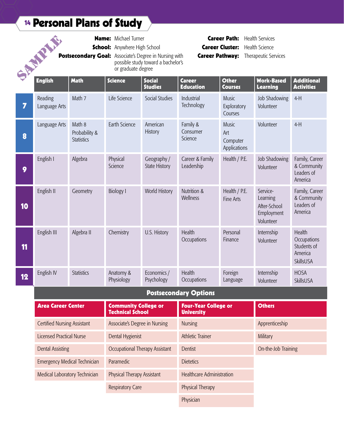# <sup>14</sup> Personal Plans of Study

|    | SALLARY A                |                                              | <b>Name:</b> Michael Turner<br><b>School:</b> Anywhere High School<br>or graduate degree | Postsecondary Goal: Associate's Degree in Nursing with<br>possible study toward a bachelor's | <b>Career Pathway:</b>            | <b>Career Path:</b><br><b>Career Cluster:</b>   | <b>Health Services</b><br><b>Health Science</b><br>Therapeutic Services |                                       |
|----|--------------------------|----------------------------------------------|------------------------------------------------------------------------------------------|----------------------------------------------------------------------------------------------|-----------------------------------|-------------------------------------------------|-------------------------------------------------------------------------|---------------------------------------|
|    | <b>English</b>           | <b>Math</b>                                  | <b>Science</b>                                                                           | <b>Social</b><br><b>Studies</b>                                                              | <b>Career</b><br><b>Education</b> | <b>Other</b><br><b>Courses</b>                  | <b>Work-Based</b><br><b>Learning</b>                                    | <b>Add</b><br><b>Acti</b>             |
| 7  | Reading<br>Language Arts | Math 7                                       | Life Science                                                                             | Social Studies                                                                               | Industrial<br>Technology          | <b>Music</b><br>Exploratory<br>Courses          | Job Shadowing<br>Volunteer                                              | $4-H$                                 |
| 8  | Language Arts            | Math 8<br>Probability &<br><b>Statistics</b> | Earth Science                                                                            | American<br>History                                                                          | Family &<br>Consumer<br>Science   | <b>Music</b><br>Art<br>Computer<br>Applications | Volunteer                                                               | $4-H$                                 |
| 9  | English I                | Algebra                                      | Physical<br>Science                                                                      | Geography /<br><b>State History</b>                                                          | Career & Family<br>Leadership     | Health / P.E.                                   | Job Shadowing<br>Volunteer                                              | Fam<br>& C<br>Lead<br>Ame             |
| 10 | English II               | Geometry                                     | <b>Biology I</b>                                                                         | World History                                                                                | Nutrition &<br>Wellness           | Health / P.E.<br><b>Fine Arts</b>               | Service-<br>Learning<br>After-School<br>Employment<br>Volunteer         | Fam<br>& C<br>Lead<br>Am <sub>6</sub> |
| 11 | English III              | Algebra II                                   | Chemistry                                                                                | U.S. History                                                                                 | Health<br>Occupations             | Personal<br>Finance                             | Internship<br>Volunteer                                                 | Hea<br>Occ<br>Stuc<br>Ame<br>Skill:   |
| 12 | English IV               | <b>Statistics</b>                            | Anatomy &<br>Physiology                                                                  | Economics /<br>Psychology                                                                    | Health<br>Occupations             | Foreign<br>Language                             | Internship<br>Volunteer                                                 | HO <sub>S</sub><br>Skill:             |
|    |                          |                                              |                                                                                          |                                                                                              | <b>Postsecondary Options</b>      |                                                 |                                                                         |                                       |

| <b>Area Career Center</b>           | <b>Community College or</b><br><b>Technical School</b> | <b>Four-Year College or</b><br><b>University</b> | <b>Others</b>       |
|-------------------------------------|--------------------------------------------------------|--------------------------------------------------|---------------------|
| <b>Certified Nursing Assistant</b>  | <b>Associate's Degree in Nursing</b>                   | <b>Nursing</b>                                   | Apprenticeship      |
| <b>Licensed Practical Nurse</b>     | Dental Hygienist                                       | <b>Athletic Trainer</b>                          | Military            |
| <b>Dental Assisting</b>             | Occupational Therapy Assistant                         | <b>Dentist</b>                                   | On-the-Job Training |
| <b>Emergency Medical Technician</b> | Paramedic                                              | <b>Dietetics</b>                                 |                     |
| Medical Laboratory Technician       | <b>Physical Therapy Assistant</b>                      | <b>Healthcare Administration</b>                 |                     |
|                                     | <b>Respiratory Care</b>                                | <b>Physical Therapy</b>                          |                     |
|                                     |                                                        | Physician                                        |                     |

**Additional Activities** 

Family, Career & Community Leaders of America

Family, Career & Community Leaders of America

Health **Occupations** Students of America SkillsUSA

HOSA SkillsUSA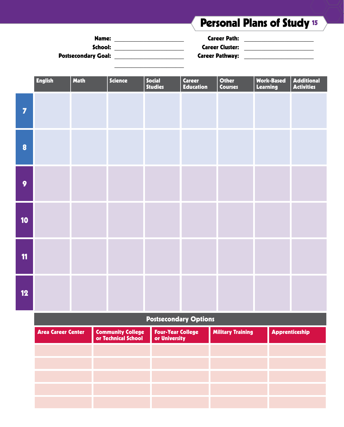# Personal Plans of Study <sup>15</sup>

| Name:                      | <b>Career Path:</b>    |  |
|----------------------------|------------------------|--|
| School:                    | <b>Career Cluster:</b> |  |
| <b>Postsecondary Goal:</b> | <b>Career Pathway:</b> |  |

|                 | <b>English</b> | <b>Math</b> | Science | Social<br>Studies | <b>Career</b><br><b>Education</b> | Other<br>Courses | Work-Based<br>Learning | <b>Additional</b><br><b>Activities</b> |
|-----------------|----------------|-------------|---------|-------------------|-----------------------------------|------------------|------------------------|----------------------------------------|
| $\overline{7}$  |                |             |         |                   |                                   |                  |                        |                                        |
| $\bullet$       |                |             |         |                   |                                   |                  |                        |                                        |
| $\overline{9}$  |                |             |         |                   |                                   |                  |                        |                                        |
| 10 <sub>1</sub> |                |             |         |                   |                                   |                  |                        |                                        |
| 11              |                |             |         |                   |                                   |                  |                        |                                        |
| 12              |                |             |         |                   |                                   |                  |                        |                                        |

### Postsecondary Options

| <b>Area Career Center</b> | <b>Community College</b><br>or Technical School | <b>Four-Year College</b><br>or University | <b>Military Training</b> | <b>Apprenticeship</b> |
|---------------------------|-------------------------------------------------|-------------------------------------------|--------------------------|-----------------------|
|                           |                                                 |                                           |                          |                       |
|                           |                                                 |                                           |                          |                       |
|                           |                                                 |                                           |                          |                       |
|                           |                                                 |                                           |                          |                       |
|                           |                                                 |                                           |                          |                       |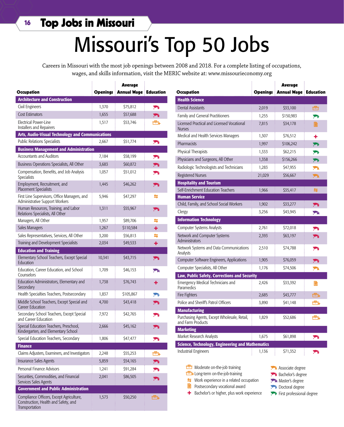# Missouri's Top 50 Jobs

Careers in Missouri with the most job openings between 2008 and 2018. For a complete listing of occupations, wages, and skills information, visit the MERIC website at: www.missourieconomy.org

|                                                                                                    |                 | <b>Average</b>               |     |
|----------------------------------------------------------------------------------------------------|-----------------|------------------------------|-----|
| Occupation                                                                                         | <b>Openings</b> | <b>Annual Wage Education</b> |     |
| <b>Architecture and Construction</b>                                                               |                 |                              |     |
| Civil Engineers                                                                                    | 1,370           | \$75,812                     | ħ   |
| <b>Cost Estimators</b>                                                                             | 1,655           | \$57,688                     | ħ   |
| Electrical Power-Line<br>Installers and Repairers                                                  | 1,517           | \$53,746                     | Ċ.  |
| Arts, Audio-Visual Technology and Communications                                                   |                 |                              |     |
| <b>Public Relations Specialists</b>                                                                | 2.667           | \$51,774                     | ħ   |
| <b>Business Management and Administration</b>                                                      |                 |                              |     |
| <b>Accountants and Auditors</b>                                                                    | 7,184           | \$58,199                     | ħ   |
| Business Operations Specialists, All Other                                                         | 3,683           | \$60,872                     | m   |
| Compensation, Benefits, and Job Analysis<br>Specialists                                            | 1,057           | \$51,012                     | m   |
| Employment, Recruitment, and<br><b>Placement Specialists</b>                                       | 1,445           | \$46,262                     | ħ   |
| First Line Supervisors, Office Managers, and<br>Administrative Support Workers                     | 5,946           | \$47,297                     | 4   |
| Human Resources, Training, and Labor<br>Relations Specialists, All Other                           | 1,311           | \$55,967                     | ħ   |
| Managers, All Other                                                                                | 1,957           | \$89,706                     | 5   |
| Sales Managers                                                                                     | 1,267           | \$110,584                    | ٠   |
| Sales Representatives, Services, All Other                                                         | 3,200           | \$56,813                     | ≒   |
| Training and Development Specialists                                                               | 2,034           | \$49,533                     | ٠   |
| <b>Education and Training</b>                                                                      |                 |                              |     |
| Elementary School Teachers, Except Special<br>Education                                            | 10,341          | \$43,715                     | 內   |
| Education, Career Education, and School<br>Counselors                                              | 1,709           | \$46,153                     | M   |
| Education Administrators, Elementary and<br>Secondary                                              | 1,738           | \$76,743                     | ٠   |
| Health Specialties Teachers, Postsecondary                                                         | 1,837           | \$105,867                    | m   |
| Middle School Teachers, Except Special and<br><b>Career Education</b>                              | 4,700           | \$43,418                     | 內   |
| Secondary School Teachers, Except Special<br>and Career Education                                  | 7,972           | \$42,765                     | m   |
| Special Education Teachers, Preschool,<br>Kindergarten, and Elementary School                      | 2,666           | \$45,162                     | 內   |
| Special Education Teachers, Secondary                                                              | 1,806           | \$47,477                     | īтв |
| <b>Finance</b>                                                                                     |                 |                              |     |
| Claims Adjusters, Examiners, and Investigators                                                     | 2,248           | \$55,253                     | Ô.  |
| <b>Insurance Sales Agents</b>                                                                      | 5,859           | \$54,165                     | 西   |
| Personal Finance Advisors                                                                          | 1,241           | \$91,284                     | 西   |
| Securities, Commodities, and Financial<br>Services Sales Agents                                    | 2,041           | \$86,505                     | ┳   |
| <b>Government and Public Administration</b>                                                        |                 |                              |     |
| Compliance Officers, Except Agriculture,<br>Construction, Health and Safety, and<br>Transportation | 1,573           | \$50,250                     | Ē.  |

| Occupation                                                        | <b>Openings</b> | <b>Average</b><br><b>Annual Wage Education</b> |                |
|-------------------------------------------------------------------|-----------------|------------------------------------------------|----------------|
| <b>Health Science</b>                                             |                 |                                                |                |
| <b>Dental Assistants</b>                                          | 2,019           | \$33,100                                       | ◓              |
| Family and General Practitioners                                  | 1,255           | \$150,983                                      | m              |
| Licensed Practical and Licensed Vocational<br><b>Nurses</b>       | 7,815           | \$34,178                                       | B              |
| Medical and Health Services Managers                              | 1,307           | \$76,512                                       | ٠              |
| Pharmacists                                                       | 1,997           | \$106,242                                      | iv b           |
| Physical Therapists                                               | 1,333           | \$62,215                                       | m              |
| Physicians and Surgeons, All Other                                | 1,358           | \$156,266                                      | m              |
| Radiologic Technologists and Technicians                          | 1,283           | \$47,955                                       | M              |
| <b>Registered Nurses</b>                                          | 21,029          | \$56,667                                       | ħ              |
| <b>Hospitality and Tourism</b>                                    |                 |                                                |                |
| Self-Enrichment Education Teachers                                | 1,966           | \$35,417                                       | 与              |
| <b>Human Service</b>                                              |                 |                                                |                |
| Child, Family, and School Social Workers                          | 1,902           | \$33,277                                       | 西              |
| Clergy                                                            | 3,256           | \$43,945                                       | $\blacksquare$ |
| <b>Information Technology</b>                                     |                 |                                                |                |
| Computer Systems Analysts                                         | 2,761           | \$72,018                                       | m              |
| Network and Computer Systems<br><b>Administrators</b>             | 2,393           | \$63,197                                       | ħ              |
| Network Systems and Data Communications<br>Analysts               | 2,510           | \$74,788                                       | m              |
| Computer Software Engineers, Applications                         | 1,905           | \$76,059                                       | ħ              |
| Computer Specialists, All Other                                   | 1,176           | \$74,506                                       | M              |
| Law, Public Safety, Corrections and Security                      |                 |                                                |                |
| Emergency Medical Technicians and<br>Paramedics                   | 2,426           | \$33,392                                       | B              |
| Fire Fighters                                                     | 2,685           | \$43,777                                       | Ô.             |
| Police and Sheriff's Patrol Officers                              | 3,890           | \$41,148                                       | Ô.             |
| <b>Manufacturing</b>                                              |                 |                                                |                |
| Purchasing Agents, Except Wholesale, Retail,<br>and Farm Products | 1,829           | \$52,686                                       | ÷.             |
| <b>Marketing</b>                                                  |                 |                                                |                |
| Market Research Analysts                                          | 1,675           | \$61,898                                       | m              |
| <b>Science, Technology, Engineering and Mathematics</b>           |                 |                                                |                |
| Industrial Engineers                                              | 1,136           | \$71,352                                       | m              |

- **m** Moderate on-the-job training
- **FGH** Long-term on-the-job-training
- $\leftrightarrow$  Work experience in a related occupation  $\Box$  Postsecondary vocational award
- + Bachelor's or higher, plus work experience
- **i**D Doctoral degree
	- **P** First professional degree

**A** Associate degree **B** Bachelor's degree **M** Master's degree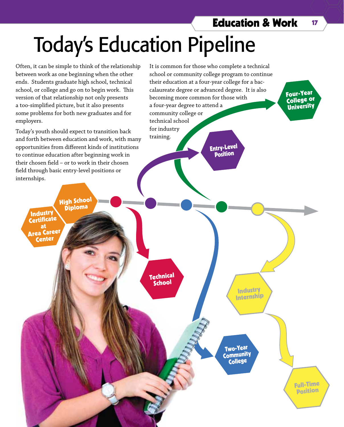Four-Year College or University

# Today's Education Pipeline

Often, it can be simple to think of the relationship between work as one beginning when the other ends. Students graduate high school, technical school, or college and go on to begin work. This version of that relationship not only presents a too-simplified picture, but it also presents some problems for both new graduates and for employers.

Today's youth should expect to transition back and forth between education and work, with many opportunities from different kinds of institutions to continue education after beginning work in their chosen field – or to work in their chosen field through basic entry-level positions or internships.

**High School**<br>Diploma

**Industry Certificate** at Area Career Center

It is common for those who complete a technical school or community college program to continue their education at a four-year college for a baccalaureate degree or advanced degree. It is also becoming more common for those with a four-year degree to attend a community college or technical school for industry training. Entry-Level

Position

Technica<sup>l</sup> **School** 

> Two-Year **Community** College

Industry Internship

> Full-Time Position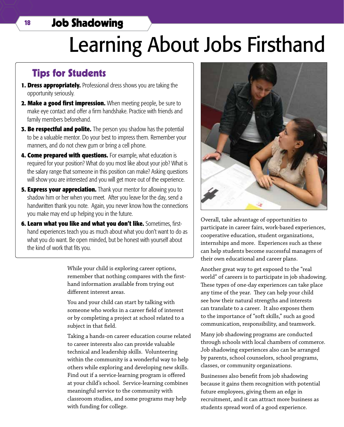# <sup>18</sup> Job Shadowing

# Learning About Jobs Firsthand

## Tips for Students

- **1. Dress appropriately.** Professional dress shows you are taking the opportunity seriously.
- **2. Make a good first impression.** When meeting people, be sure to make eye contact and offer a firm handshake. Practice with friends and family members beforehand.
- **3. Be respectful and polite.** The person you shadow has the potential to be a valuable mentor. Do your best to impress them. Remember your manners, and do not chew gum or bring a cell phone.
- **4. Come prepared with questions.** For example, what education is required for your position? What do you most like about your job? What is the salary range that someone in this position can make? Asking questions will show you are interested and you will get more out of the experience.
- **5. Express your appreciation.** Thank your mentor for allowing you to shadow him or her when you meet. After you leave for the day, send a handwritten thank you note. Again, you never know how the connections you make may end up helping you in the future.
- **6. Learn what you like and what you don't like.** Sometimes, firsthand experiences teach you as much about what you don't want to do as what you do want. Be open minded, but be honest with yourself about the kind of work that fits you.

While your child is exploring career options, remember that nothing compares with the firsthand information available from trying out different interest areas.

You and your child can start by talking with someone who works in a career field of interest or by completing a project at school related to a subject in that field.

Taking a hands-on career education course related to career interests also can provide valuable technical and leadership skills. Volunteering within the community is a wonderful way to help others while exploring and developing new skills. Find out if a service-learning program is offered at your child's school. Service-learning combines meaningful service to the community with classroom studies, and some programs may help with funding for college.



Overall, take advantage of opportunities to participate in career fairs, work-based experiences, cooperative education, student organizations, internships and more. Experiences such as these can help students become successful managers of their own educational and career plans.

Another great way to get exposed to the "real world" of careers is to participate in job shadowing. These types of one-day experiences can take place any time of the year. They can help your child see how their natural strengths and interests can translate to a career. It also exposes them to the importance of "soft skills," such as good communication, responsibility, and teamwork.

Many job shadowing programs are conducted through schools with local chambers of commerce. Job shadowing experiences also can be arranged by parents, school counselors, school programs, classes, or community organizations.

Businesses also benefit from job shadowing because it gains them recognition with potential future employees, giving them an edge in recruitment, and it can attract more business as students spread word of a good experience.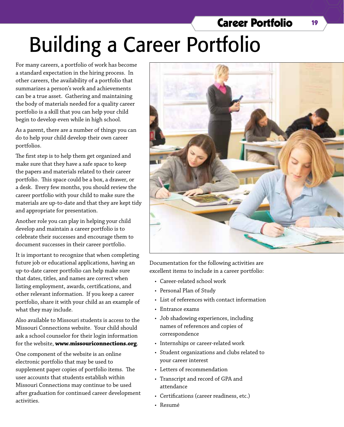# Building a Career Portfolio

For many careers, a portfolio of work has become a standard expectation in the hiring process. In other careers, the availability of a portfolio that summarizes a person's work and achievements can be a true asset. Gathering and maintaining the body of materials needed for a quality career portfolio is a skill that you can help your child begin to develop even while in high school.

As a parent, there are a number of things you can do to help your child develop their own career portfolios.

The first step is to help them get organized and make sure that they have a safe space to keep the papers and materials related to their career portfolio. This space could be a box, a drawer, or a desk. Every few months, you should review the career portfolio with your child to make sure the materials are up-to-date and that they are kept tidy and appropriate for presentation.

Another role you can play in helping your child develop and maintain a career portfolio is to celebrate their successes and encourage them to document successes in their career portfolio.

It is important to recognize that when completing future job or educational applications, having an up-to-date career portfolio can help make sure that dates, titles, and names are correct when listing employment, awards, certifications, and other relevant information. If you keep a career portfolio, share it with your child as an example of what they may include.

Also available to Missouri students is access to the Missouri Connections website. Your child should ask a school counselor for their login information for the website, **www.missouriconnections.org**.

One component of the website is an online electronic portfolio that may be used to supplement paper copies of portfolio items. The user accounts that students establish within Missouri Connections may continue to be used after graduation for continued career development activities.



Career Portfolio <sup>19</sup>

Documentation for the following activities are excellent items to include in a career portfolio:

- • Career-related school work
- Personal Plan of Study
- • List of references with contact information
- • Entrance exams
- • Job shadowing experiences, including names of references and copies of correspondence
- Internships or career-related work
- • Student organizations and clubs related to your career interest
- • Letters of recommendation
- Transcript and record of GPA and attendance
- Certifications (career readiness, etc.)
- • Resumé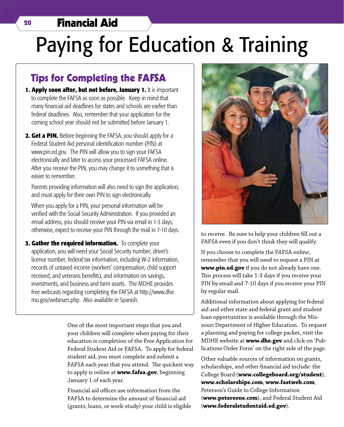## <sup>20</sup> Financial Aid

# Paying for Education & Training

## Tips for Completing the FAFSA

- 1. Apply soon after, but not before, January 1. It is important to complete the FAFSA as soon as possible. Keep in mind that many financial aid deadlines for states and schools are earlier than federal deadlines. Also, remember that your application for the coming school year should not be submitted before January 1.
- **2. Get a PIN.** Before beginning the FAFSA, you should apply for a Federal Student Aid personal identification number (PIN) at www.pin.ed.gov. The PIN will allow you to sign your FAFSA electronically and later to access your processed FAFSA online. After you receive the PIN, you may change it to something that is easier to remember.

Parents providing information will also need to sign the application, and must apply for their own PIN to sign electronically.

When you apply for a PIN, your personal information will be verified with the Social Security Administration. If you provided an email address, you should receive your PIN via email in 1-3 days; otherwise, expect to receive your PIN through the mail in 7-10 days.

**3. Gather the required information.** To complete your application, you will need your Social Security number, driver's license number, federal tax information, including W-2 information, records of untaxed income (workers' compensation, child support received, and veterans benefits), and information on savings, investments, and business and farm assets. The MDHE provides free webcasts regarding completing the FAFSA at http://www.dhe. mo.gov/webinars.php. Also available in Spanish.

> One of the most important steps that you and your children will complete when paying for their education is completion of the Free Application for Federal Student Aid or FAFSA. To apply for federal student aid, you must complete and submit a FAFSA each year that you attend. The quickest way to apply is online at **www.fafsa.gov**, beginning January 1 of each year.

Financial aid offices use information from the FAFSA to determine the amount of financial aid (grants, loans, or work-study) your child is eligible



to receive. Be sure to help your children fill out a FAFSA even if you don't think they will qualify.

If you choose to complete the FAFSA online, remember that you will need to request a PIN at **www.pin.ed.gov** if you do not already have one. This process will take 1-3 days if you receive your PIN by email and 7-10 days if you receive your PIN by regular mail.

Additional information about applying for federal aid and other state and federal grant and student loan opportunities is available through the Missouri Department of Higher Education. To request a planning and paying for college packet, visit the MDHE website at **www.dhe.gov** and click on 'Publications Order Form' on the right side of the page.

Other valuable sources of information on grants, scholarships, and other financial aid include: the College Board (**www.collegeboard.org/student**), **www.scholarships.com**, **www.fastweb.com**, Peterson's Guide to College Information (**www.petersons.com**), and Federal Student Aid (**www.federalstudentaid.ed.gov**).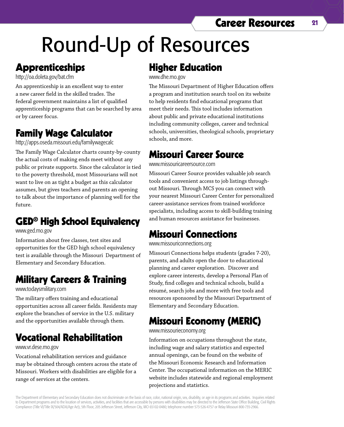# Career Resources 21

# Round-Up of Resources

# **Apprenticeships**

http://oa.doleta.gov/bat.cfm

An apprenticeship is an excellent way to enter a new career field in the skilled trades. The federal government maintains a list of qualified apprenticeship programs that can be searched by area or by career focus.

# Family Wage Calculator

http://apps.oseda.missouri.edu/familywagecalc

The Family Wage Calculator charts county-by-county the actual costs of making ends meet without any public or private supports. Since the calculator is tied to the poverty threshold, most Missourians will not want to live on as tight a budget as this calculator assumes, but gives teachers and parents an opening to talk about the importance of planning well for the future.

# GED® High School Equivalency

www.ged.mo.gov

Information about free classes, test sites and opportunities for the GED high school equivalency test is available through the Missouri Department of Elementary and Secondary Education.

# Military Careers & Training

www.todaysmilitary.com

The military offers training and educational opportunities across all career fields. Residents may explore the branches of service in the U.S. military and the opportunities available through them.

# Vocational Rehabilitation

www.vr.dese.mo.gov

Vocational rehabilitation services and guidance may be obtained through centers across the state of Missouri. Workers with disabilities are eligible for a range of services at the centers.

# Higher Education

www.dhe.mo.gov

The Missouri Department of Higher Education offers a program and institution search tool on its website to help residents find educational programs that meet their needs. This tool includes information about public and private educational institutions including community colleges, career and technical schools, universities, theological schools, proprietary schools, and more.

# Missouri Career Source

www.missouricareersource.com

Missouri Career Source provides valuable job search tools and convenient access to job listings throughout Missouri. Through MCS you can connect with your nearest Missouri Career Center for personalized career-assistance services from trained workforce specialists, including access to skill-building training and human resources assistance for businesses.

# Missouri Connections

www.missouriconnections.org

Missouri Connections helps students (grades 7-20), parents, and adults open the door to educational planning and career exploration. Discover and explore career interests, develop a Personal Plan of Study, find colleges and technical schools, build a résumé, search jobs and more with free tools and resources sponsored by the Missouri Department of Elementary and Secondary Education.

# Missouri Economy (MERIC)

www.missourieconomy.org

Information on occupations throughout the state, including wage and salary statistics and expected annual openings, can be found on the website of the Missouri Economic Research and Information Center. The occupational information on the MERIC website includes statewide and regional employment projections and statistics.

The Department of Elementary and Secondary Education does not discriminate on the basis of race, color, national origin, sex, disability, or age in its programs and activities. Inquiries related to Department programs and to the location of services, activities, and facilities that are accessible by persons with disabilities may be directed to the Jefferson State Office Building, Civil Rights Compliance (Title VI/Title IX/504/ADA/Age Act), 5th Floor, 205 Jefferson Street, Jefferson City, MO 65102-0480; telephone number 573-526-4757 or Relay Missouri 800-735-2966.